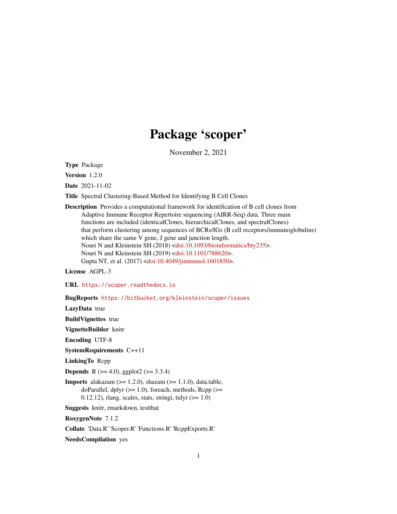# Package 'scoper'

November 2, 2021

<span id="page-0-0"></span>Type Package

Version 1.2.0

Date 2021-11-02

Title Spectral Clustering-Based Method for Identifying B Cell Clones

Description Provides a computational framework for identification of B cell clones from Adaptive Immune Receptor Repertoire sequencing (AIRR-Seq) data. Three main functions are included (identicalClones, hierarchicalClones, and spectralClones) that perform clustering among sequences of BCRs/IGs (B cell receptors/immunoglobulins) which share the same V gene, J gene and junction length. Nouri N and Kleinstein SH (2018) [<doi:10.1093/bioinformatics/bty235>](https://doi.org/10.1093/bioinformatics/bty235). Nouri N and Kleinstein SH (2019) [<doi:10.1101/788620>](https://doi.org/10.1101/788620). Gupta NT, et al. (2017) [<doi:10.4049/jimmunol.1601850>](https://doi.org/10.4049/jimmunol.1601850).

License AGPL-3

URL <https://scoper.readthedocs.io>

BugReports <https://bitbucket.org/kleinstein/scoper/issues>

LazyData true

BuildVignettes true

VignetteBuilder knitr

Encoding UTF-8

SystemRequirements C++11

LinkingTo Rcpp

**Depends** R ( $>= 4.0$ ), ggplot2 ( $>= 3.3.4$ )

**Imports** alakazam  $(>= 1.2.0)$ , shazam  $(>= 1.1.0)$ , data.table, doParallel, dplyr  $(>= 1.0)$ , foreach, methods, Rcpp  $(>= 1.0)$  $0.12.12$ ), rlang, scales, stats, stringi, tidyr ( $>= 1.0$ )

Suggests knitr, rmarkdown, testthat

RoxygenNote 7.1.2

Collate 'Data.R' 'Scoper.R' 'Functions.R' 'RcppExports.R'

NeedsCompilation yes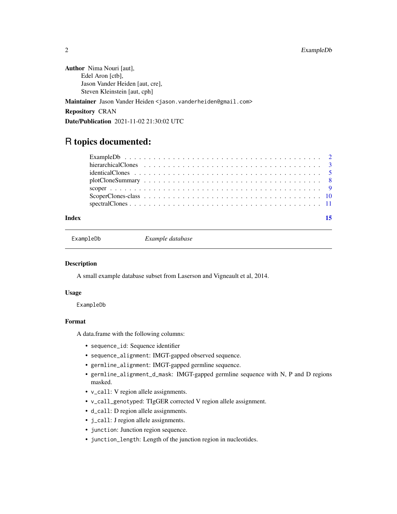#### <span id="page-1-0"></span>2 ExampleDb

Author Nima Nouri [aut], Edel Aron [ctb], Jason Vander Heiden [aut, cre], Steven Kleinstein [aut, cph]

Maintainer Jason Vander Heiden <jason.vanderheiden@gmail.com>

Repository CRAN

Date/Publication 2021-11-02 21:30:02 UTC

## R topics documented:

| Index | 15 |
|-------|----|
|       |    |
|       |    |
|       |    |
|       |    |
|       |    |
|       |    |

ExampleDb *Example database*

#### **Description**

A small example database subset from Laserson and Vigneault et al, 2014.

#### Usage

ExampleDb

#### Format

A data.frame with the following columns:

- sequence\_id: Sequence identifier
- sequence\_alignment: IMGT-gapped observed sequence.
- germline\_alignment: IMGT-gapped germline sequence.
- germline\_alignment\_d\_mask: IMGT-gapped germline sequence with N, P and D regions masked.
- v\_call: V region allele assignments.
- v\_call\_genotyped: TIgGER corrected V region allele assignment.
- d\_call: D region allele assignments.
- j\_call: J region allele assignments.
- junction: Junction region sequence.
- junction\_length: Length of the junction region in nucleotides.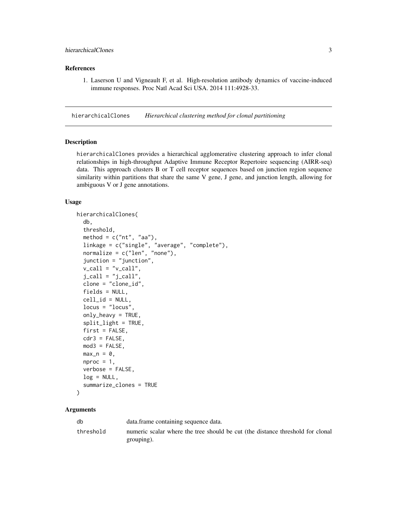#### <span id="page-2-0"></span>References

1. Laserson U and Vigneault F, et al. High-resolution antibody dynamics of vaccine-induced immune responses. Proc Natl Acad Sci USA. 2014 111:4928-33.

<span id="page-2-1"></span>hierarchicalClones *Hierarchical clustering method for clonal partitioning*

#### Description

hierarchicalClones provides a hierarchical agglomerative clustering approach to infer clonal relationships in high-throughput Adaptive Immune Receptor Repertoire sequencing (AIRR-seq) data. This approach clusters B or T cell receptor sequences based on junction region sequence similarity within partitions that share the same V gene, J gene, and junction length, allowing for ambiguous V or J gene annotations.

#### Usage

```
hierarchicalClones(
  db,
  threshold,
  method = c("nt", "aa"),
  linkage = c("single", "average", "complete"),
  normalize = c("len", "none"),
  junction = "junction",
  v_{cal} = "v_{cal}!",
  j_{call} = "j_{call}",
  clone = "clone_id",
  fields = NULL,
  cell_id = NULL,locus = "locus",
  only\_heavy = TRUE,
  split_light = TRUE,
  first = FALSE,
  cdr3 = FALSE,mod3 = FALSE,max_n = 0,
  nproc = 1,verbose = FALSE,
  log = NULL,summarize_clones = TRUE
\lambda
```

| db        | data. frame containing sequence data.                                          |
|-----------|--------------------------------------------------------------------------------|
| threshold | numeric scalar where the tree should be cut (the distance threshold for clonal |
|           | grouping).                                                                     |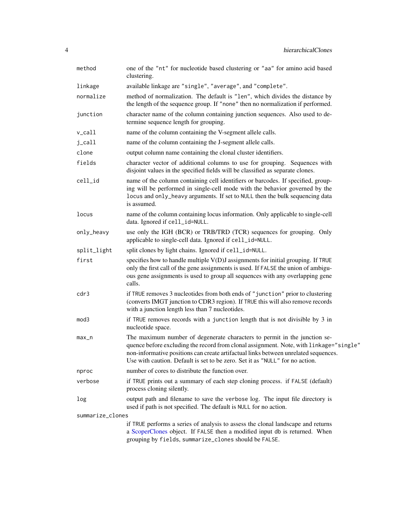<span id="page-3-0"></span>

| method              | one of the "nt" for nucleotide based clustering or "aa" for amino acid based<br>clustering.                                                                                                                                                                                                                                                |
|---------------------|--------------------------------------------------------------------------------------------------------------------------------------------------------------------------------------------------------------------------------------------------------------------------------------------------------------------------------------------|
| linkage             | available linkage are "single", "average", and "complete".                                                                                                                                                                                                                                                                                 |
| normalize           | method of normalization. The default is "len", which divides the distance by<br>the length of the sequence group. If "none" then no normalization if performed.                                                                                                                                                                            |
| junction            | character name of the column containing junction sequences. Also used to de-<br>termine sequence length for grouping.                                                                                                                                                                                                                      |
| $v_{cal}1$          | name of the column containing the V-segment allele calls.                                                                                                                                                                                                                                                                                  |
| $j$ <sub>call</sub> | name of the column containing the J-segment allele calls.                                                                                                                                                                                                                                                                                  |
| clone               | output column name containing the clonal cluster identifiers.                                                                                                                                                                                                                                                                              |
| fields              | character vector of additional columns to use for grouping. Sequences with<br>disjoint values in the specified fields will be classified as separate clones.                                                                                                                                                                               |
| cell_id             | name of the column containing cell identifiers or barcodes. If specified, group-<br>ing will be performed in single-cell mode with the behavior governed by the<br>locus and only_heavy arguments. If set to NULL then the bulk sequencing data<br>is assumed.                                                                             |
| locus               | name of the column containing locus information. Only applicable to single-cell<br>data. Ignored if cell_id=NULL.                                                                                                                                                                                                                          |
| only_heavy          | use only the IGH (BCR) or TRB/TRD (TCR) sequences for grouping. Only<br>applicable to single-cell data. Ignored if cell_id=NULL.                                                                                                                                                                                                           |
| split_light         | split clones by light chains. Ignored if cell_id=NULL.                                                                                                                                                                                                                                                                                     |
| first               | specifies how to handle multiple $V(D)J$ assignments for initial grouping. If TRUE<br>only the first call of the gene assignments is used. If FALSE the union of ambigu-<br>ous gene assignments is used to group all sequences with any overlapping gene<br>calls.                                                                        |
| cdr3                | if TRUE removes 3 nucleotides from both ends of "junction" prior to clustering<br>(converts IMGT junction to CDR3 region). If TRUE this will also remove records<br>with a junction length less than 7 nucleotides.                                                                                                                        |
| mod3                | if TRUE removes records with a junction length that is not divisible by 3 in<br>nucleotide space.                                                                                                                                                                                                                                          |
| $max_n$             | The maximum number of degenerate characters to permit in the junction se-<br>quence before excluding the record from clonal assignment. Note, with linkage="single"<br>non-informative positions can create artifactual links between unrelated sequences.<br>Use with caution. Default is set to be zero. Set it as "NULL" for no action. |
| nproc               | number of cores to distribute the function over.                                                                                                                                                                                                                                                                                           |
| verbose             | if TRUE prints out a summary of each step cloning process. if FALSE (default)<br>process cloning silently.                                                                                                                                                                                                                                 |
| log                 | output path and filename to save the verbose log. The input file directory is<br>used if path is not specified. The default is NULL for no action.                                                                                                                                                                                         |
| summarize_clones    |                                                                                                                                                                                                                                                                                                                                            |
|                     | if TRUE performs a series of analysis to assess the clonal landscape and returns<br>a ScoperClones object. If FALSE then a modified input db is returned. When<br>grouping by fields, summarize_clones should be FALSE.                                                                                                                    |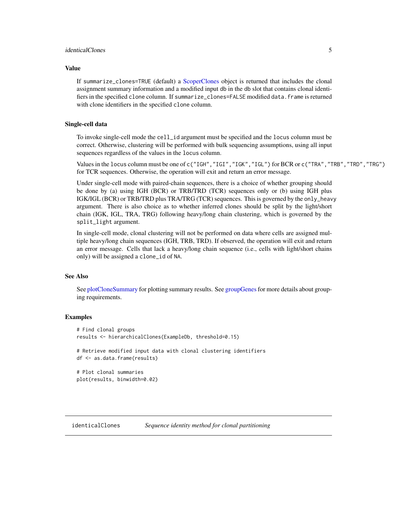#### <span id="page-4-0"></span>identicalClones 5

#### Value

If summarize\_clones=TRUE (default) a [ScoperClones](#page-9-1) object is returned that includes the clonal assignment summary information and a modified input db in the db slot that contains clonal identifiers in the specified clone column. If summarize\_clones=FALSE modified data. frame is returned with clone identifiers in the specified clone column.

#### Single-cell data

To invoke single-cell mode the cell\_id argument must be specified and the locus column must be correct. Otherwise, clustering will be performed with bulk sequencing assumptions, using all input sequences regardless of the values in the locus column.

Values in the locus column must be one of c("IGH", "IGI", "IGK", "IGL") for BCR or c("TRA", "TRB", "TRD", "TRG") for TCR sequences. Otherwise, the operation will exit and return an error message.

Under single-cell mode with paired-chain sequences, there is a choice of whether grouping should be done by (a) using IGH (BCR) or TRB/TRD (TCR) sequences only or (b) using IGH plus IGK/IGL (BCR) or TRB/TRD plus TRA/TRG (TCR) sequences. This is governed by the only\_heavy argument. There is also choice as to whether inferred clones should be split by the light/short chain (IGK, IGL, TRA, TRG) following heavy/long chain clustering, which is governed by the split\_light argument.

In single-cell mode, clonal clustering will not be performed on data where cells are assigned multiple heavy/long chain sequences (IGH, TRB, TRD). If observed, the operation will exit and return an error message. Cells that lack a heavy/long chain sequence (i.e., cells with light/short chains only) will be assigned a clone\_id of NA.

#### See Also

See [plotCloneSummary](#page-7-1) for plotting summary results. See [groupGenes](#page-0-0)for more details about grouping requirements.

#### Examples

```
# Find clonal groups
results <- hierarchicalClones(ExampleDb, threshold=0.15)
# Retrieve modified input data with clonal clustering identifiers
df <- as.data.frame(results)
# Plot clonal summaries
plot(results, binwidth=0.02)
```
<span id="page-4-1"></span>identicalClones *Sequence identity method for clonal partitioning*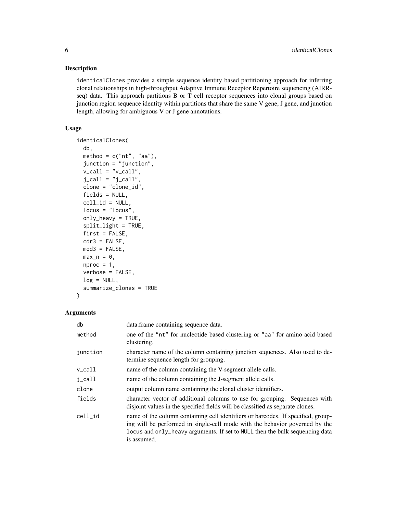#### Description

identicalClones provides a simple sequence identity based partitioning approach for inferring clonal relationships in high-throughput Adaptive Immune Receptor Repertoire sequencing (AIRRseq) data. This approach partitions B or T cell receptor sequences into clonal groups based on junction region sequence identity within partitions that share the same V gene, J gene, and junction length, allowing for ambiguous V or J gene annotations.

#### Usage

```
identicalClones(
  db,
 method = c("nt", "aa"),
  junction = "junction",
 v_{call} = "v_{call}",
  j<sub>call</sub> = "j<sub>call</sub>",
 clone = "clone_id",
  fields = NULL,
  cell_id = NULL,locus = "locus",
  only_heavy = TRUE,
  split_light = TRUE,
  first = FALSE,
 cdr3 = FALSE,mod3 = FALSE,max_n = 0,
 nproc = 1,verbose = FALSE,
  log = NULL,summarize_clones = TRUE
)
```

| db       | data. frame containing sequence data.                                                                                                                                                                                                                          |
|----------|----------------------------------------------------------------------------------------------------------------------------------------------------------------------------------------------------------------------------------------------------------------|
| method   | one of the "nt" for nucleotide based clustering or "aa" for amino acid based<br>clustering.                                                                                                                                                                    |
| junction | character name of the column containing junction sequences. Also used to de-<br>termine sequence length for grouping.                                                                                                                                          |
| v_call   | name of the column containing the V-segment allele calls.                                                                                                                                                                                                      |
| j_call   | name of the column containing the J-segment allele calls.                                                                                                                                                                                                      |
| clone    | output column name containing the clonal cluster identifiers.                                                                                                                                                                                                  |
| fields   | character vector of additional columns to use for grouping. Sequences with<br>disjoint values in the specified fields will be classified as separate clones.                                                                                                   |
| cell_id  | name of the column containing cell identifiers or barcodes. If specified, group-<br>ing will be performed in single-cell mode with the behavior governed by the<br>locus and only_heavy arguments. If set to NULL then the bulk sequencing data<br>is assumed. |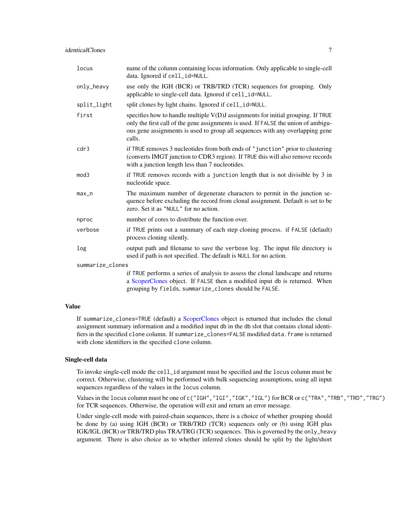<span id="page-6-0"></span>

| locus            | name of the column containing locus information. Only applicable to single-cell<br>data. Ignored if cell_id=NULL.                                                                                                                                                   |
|------------------|---------------------------------------------------------------------------------------------------------------------------------------------------------------------------------------------------------------------------------------------------------------------|
| only_heavy       | use only the IGH (BCR) or TRB/TRD (TCR) sequences for grouping. Only<br>applicable to single-cell data. Ignored if cell_id=NULL.                                                                                                                                    |
| split_light      | split clones by light chains. Ignored if cell_id=NULL.                                                                                                                                                                                                              |
| first            | specifies how to handle multiple $V(D)J$ assignments for initial grouping. If TRUE<br>only the first call of the gene assignments is used. If FALSE the union of ambigu-<br>ous gene assignments is used to group all sequences with any overlapping gene<br>calls. |
| cdr3             | if TRUE removes 3 nucleotides from both ends of "junction" prior to clustering<br>(converts IMGT junction to CDR3 region). If TRUE this will also remove records<br>with a junction length less than 7 nucleotides.                                                 |
| mod3             | if TRUE removes records with a junction length that is not divisible by 3 in<br>nucleotide space.                                                                                                                                                                   |
| $max_n$          | The maximum number of degenerate characters to permit in the junction se-<br>quence before excluding the record from clonal assignment. Default is set to be<br>zero. Set it as "NULL" for no action.                                                               |
| nproc            | number of cores to distribute the function over.                                                                                                                                                                                                                    |
| verbose          | if TRUE prints out a summary of each step cloning process. if FALSE (default)<br>process cloning silently.                                                                                                                                                          |
| log              | output path and filename to save the verbose log. The input file directory is<br>used if path is not specified. The default is NULL for no action.                                                                                                                  |
| summarize_clones |                                                                                                                                                                                                                                                                     |
|                  | if TRUE performs a series of analysis to assess the clonal landscape and returns<br>a ScoperClones object. If FALSE then a modified input db is returned. When<br>grouping by fields, summarize_clones should be FALSE.                                             |

#### Value

If summarize\_clones=TRUE (default) a [ScoperClones](#page-9-1) object is returned that includes the clonal assignment summary information and a modified input db in the db slot that contains clonal identifiers in the specified clone column. If summarize\_clones=FALSE modified data. frame is returned with clone identifiers in the specified clone column.

#### Single-cell data

To invoke single-cell mode the cell\_id argument must be specified and the locus column must be correct. Otherwise, clustering will be performed with bulk sequencing assumptions, using all input sequences regardless of the values in the locus column.

Values in the locus column must be one of c("IGH","IGI","IGK","IGL") for BCR or c("TRA","TRB","TRD","TRG") for TCR sequences. Otherwise, the operation will exit and return an error message.

Under single-cell mode with paired-chain sequences, there is a choice of whether grouping should be done by (a) using IGH (BCR) or TRB/TRD (TCR) sequences only or (b) using IGH plus IGK/IGL (BCR) or TRB/TRD plus TRA/TRG (TCR) sequences. This is governed by the only\_heavy argument. There is also choice as to whether inferred clones should be split by the light/short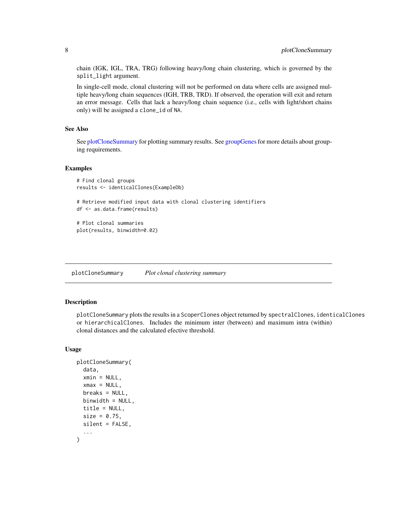<span id="page-7-0"></span>chain (IGK, IGL, TRA, TRG) following heavy/long chain clustering, which is governed by the split\_light argument.

In single-cell mode, clonal clustering will not be performed on data where cells are assigned multiple heavy/long chain sequences (IGH, TRB, TRD). If observed, the operation will exit and return an error message. Cells that lack a heavy/long chain sequence (i.e., cells with light/short chains only) will be assigned a clone\_id of NA.

#### See Also

See [plotCloneSummary](#page-7-1) for plotting summary results. See [groupGenes](#page-0-0) for more details about grouping requirements.

#### Examples

```
# Find clonal groups
results <- identicalClones(ExampleDb)
```
# Retrieve modified input data with clonal clustering identifiers df <- as.data.frame(results)

```
# Plot clonal summaries
plot(results, binwidth=0.02)
```
<span id="page-7-1"></span>plotCloneSummary *Plot clonal clustering summary*

#### Description

plotCloneSummary plots the results in a ScoperClones object returned by spectralClones, identicalClones or hierarchicalClones. Includes the minimum inter (between) and maximum intra (within) clonal distances and the calculated efective threshold.

#### Usage

```
plotCloneSummary(
  data,
  xmin = NULL,xmax = NULL,
  breaks = NULL,
  binwidth = NULL,
  title = NULL,
  size = 0.75,
  silent = FALSE,
  ...
)
```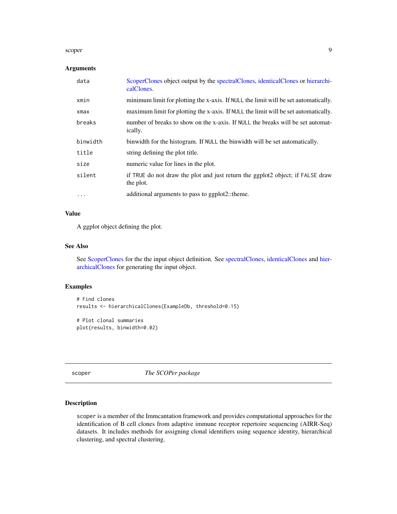#### <span id="page-8-0"></span>scoper 9 years and the set of the set of the set of the set of the set of the set of the set of the set of the

#### Arguments

| data     | ScoperClones object output by the spectralClones, identicalClones or hierarchi-<br>calClones.     |
|----------|---------------------------------------------------------------------------------------------------|
| xmin     | minimum limit for plotting the x-axis. If NULL the limit will be set automatically.               |
| xmax     | maximum limit for plotting the x-axis. If NULL the limit will be set automatically.               |
| breaks   | number of breaks to show on the x-axis. If NULL the breaks will be set automat-<br><i>ically.</i> |
| binwidth | binwidth for the histogram. If NULL the binwidth will be set automatically.                       |
| title    | string defining the plot title.                                                                   |
| size     | numeric value for lines in the plot.                                                              |
| silent   | if TRUE do not draw the plot and just return the ggplot2 object; if FALSE draw<br>the plot.       |
| $\cdots$ | additional arguments to pass to ggplot2::theme.                                                   |

#### Value

A ggplot object defining the plot.

#### See Also

See [ScoperClones](#page-9-1) for the the input object definition. See [spectralClones,](#page-10-1) [identicalClones](#page-4-1) and [hier](#page-2-1)[archicalClones](#page-2-1) for generating the input object.

#### Examples

```
# Find clones
results <- hierarchicalClones(ExampleDb, threshold=0.15)
# Plot clonal summaries
plot(results, binwidth=0.02)
```
scoper *The SCOPer package*

#### Description

scoper is a member of the Immcantation framework and provides computational approaches for the identification of B cell clones from adaptive immune receptor repertoire sequencing (AIRR-Seq) datasets. It includes methods for assigning clonal identifiers using sequence identity, hierarchical clustering, and spectral clustering.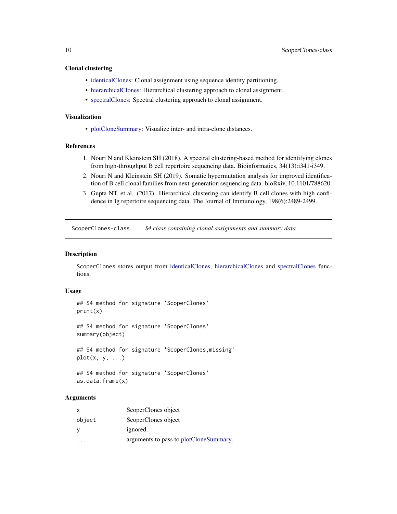#### <span id="page-9-0"></span>Clonal clustering

- [identicalClones:](#page-4-1) Clonal assignment using sequence identity partitioning.
- [hierarchicalClones:](#page-2-1) Hierarchical clustering approach to clonal assignment.
- [spectralClones:](#page-10-1) Spectral clustering approach to clonal assignment.

#### Visualization

• [plotCloneSummary:](#page-7-1) Visualize inter- and intra-clone distances.

#### References

- 1. Nouri N and Kleinstein SH (2018). A spectral clustering-based method for identifying clones from high-throughput B cell repertoire sequencing data. Bioinformatics, 34(13):i341-i349.
- 2. Nouri N and Kleinstein SH (2019). Somatic hypermutation analysis for improved identification of B cell clonal families from next-generation sequencing data. bioRxiv, 10.1101/788620.
- 3. Gupta NT, et al. (2017). Hierarchical clustering can identify B cell clones with high confidence in Ig repertoire sequencing data. The Journal of Immunology, 198(6):2489-2499.

ScoperClones-class *S4 class containing clonal assignments and summary data*

#### <span id="page-9-1"></span>Description

ScoperClones stores output from [identicalClones,](#page-4-1) [hierarchicalClones](#page-2-1) and [spectralClones](#page-10-1) functions.

#### Usage

```
## S4 method for signature 'ScoperClones'
print(x)
```
## S4 method for signature 'ScoperClones' summary(object)

## S4 method for signature 'ScoperClones,missing'  $plot(x, y, \ldots)$ 

```
## S4 method for signature 'ScoperClones'
as.data.frame(x)
```

| X            | ScoperClones object                    |
|--------------|----------------------------------------|
| object       | ScoperClones object                    |
| <sub>V</sub> | ignored.                               |
|              | arguments to pass to plotCloneSummary. |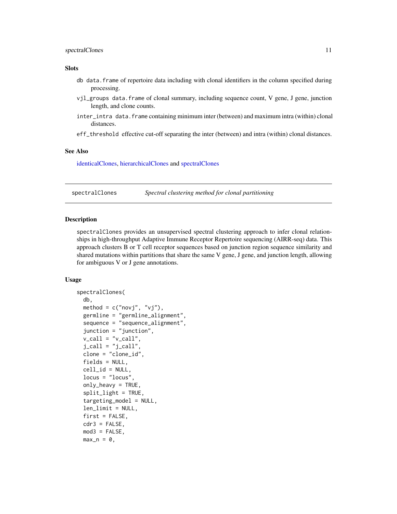#### <span id="page-10-0"></span>spectralClones 11

#### **Slots**

- db data.frame of repertoire data including with clonal identifiers in the column specified during processing.
- vjl\_groups data.frame of clonal summary, including sequence count, V gene, J gene, junction length, and clone counts.
- inter\_intra data.frame containing minimum inter (between) and maximum intra (within) clonal distances.
- eff\_threshold effective cut-off separating the inter (between) and intra (within) clonal distances.

#### See Also

[identicalClones,](#page-4-1) [hierarchicalClones](#page-2-1) and [spectralClones](#page-10-1)

<span id="page-10-1"></span>spectralClones *Spectral clustering method for clonal partitioning*

#### **Description**

spectralClones provides an unsupervised spectral clustering approach to infer clonal relationships in high-throughput Adaptive Immune Receptor Repertoire sequencing (AIRR-seq) data. This approach clusters B or T cell receptor sequences based on junction region sequence similarity and shared mutations within partitions that share the same V gene, J gene, and junction length, allowing for ambiguous V or J gene annotations.

#### Usage

```
spectralClones(
  db,
 method = c("novj", "vj"),
  germline = "germline_alignment",
  sequence = "sequence_alignment",
  junction = "junction",
  v_{cal1} = "v_{cal1}".j_{call} = "j_{call}",
  clone = "clone_id",
  fields = NULL,
  cell_id = NULL,locus = "locus",
  only\_heavy = TRUE,split_light = TRUE,
  targeting_model = NULL,len_limit = NULL,
  first = FALSE,
  cdr3 = FALSE,mod3 = FALSE,max_n = 0,
```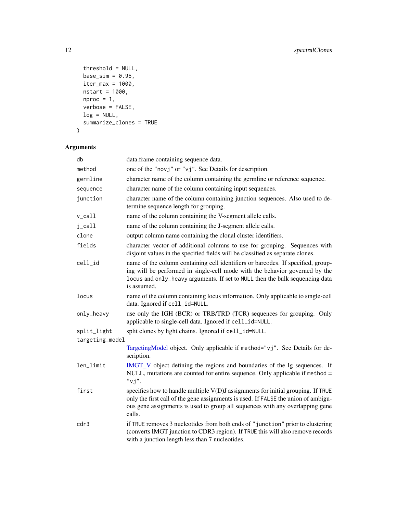```
threshold = NULL,
 base_sim = 0.95,
 iter\_max = 1000,nstart = 1000,
 nproc = 1,verbose = FALSE,
 log = NULL,summarize_clones = TRUE
\mathcal{L}
```

| db              | data.frame containing sequence data.                                                                                                                                                                                                                              |
|-----------------|-------------------------------------------------------------------------------------------------------------------------------------------------------------------------------------------------------------------------------------------------------------------|
| method          | one of the "novj" or "vj". See Details for description.                                                                                                                                                                                                           |
| germline        | character name of the column containing the germline or reference sequence.                                                                                                                                                                                       |
| sequence        | character name of the column containing input sequences.                                                                                                                                                                                                          |
| junction        | character name of the column containing junction sequences. Also used to de-<br>termine sequence length for grouping.                                                                                                                                             |
| v_call          | name of the column containing the V-segment allele calls.                                                                                                                                                                                                         |
| j_call          | name of the column containing the J-segment allele calls.                                                                                                                                                                                                         |
| clone           | output column name containing the clonal cluster identifiers.                                                                                                                                                                                                     |
| fields          | character vector of additional columns to use for grouping. Sequences with<br>disjoint values in the specified fields will be classified as separate clones.                                                                                                      |
| cell_id         | name of the column containing cell identifiers or barcodes. If specified, group-<br>ing will be performed in single-cell mode with the behavior governed by the<br>locus and only_heavy arguments. If set to NULL then the bulk sequencing data<br>is assumed.    |
| locus           | name of the column containing locus information. Only applicable to single-cell<br>data. Ignored if cell_id=NULL.                                                                                                                                                 |
| only_heavy      | use only the IGH (BCR) or TRB/TRD (TCR) sequences for grouping. Only<br>applicable to single-cell data. Ignored if cell_id=NULL.                                                                                                                                  |
| split_light     | split clones by light chains. Ignored if cell_id=NULL.                                                                                                                                                                                                            |
| targeting_model |                                                                                                                                                                                                                                                                   |
|                 | TargetingModel object. Only applicable if method="vj". See Details for de-<br>scription.                                                                                                                                                                          |
| len_limit       | IMGT_V object defining the regions and boundaries of the Ig sequences. If<br>NULL, mutations are counted for entire sequence. Only applicable if method =<br>$"$ vj".                                                                                             |
| first           | specifies how to handle multiple V(D)J assignments for initial grouping. If TRUE<br>only the first call of the gene assignments is used. If FALSE the union of ambigu-<br>ous gene assignments is used to group all sequences with any overlapping gene<br>calls. |
| cdr3            | if TRUE removes 3 nucleotides from both ends of "junction" prior to clustering<br>(converts IMGT junction to CDR3 region). If TRUE this will also remove records<br>with a junction length less than 7 nucleotides.                                               |

<span id="page-11-0"></span>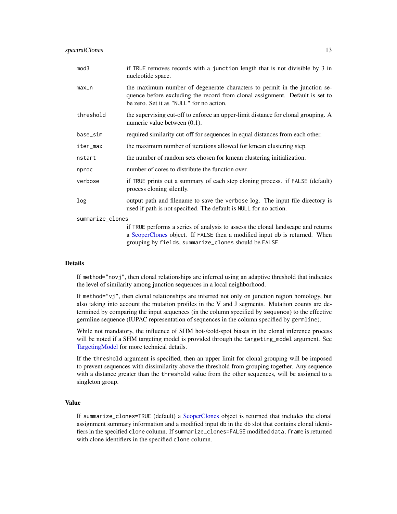<span id="page-12-0"></span>

| mod3      | if TRUE removes records with a junction length that is not divisible by 3 in<br>nucleotide space.                                                                                                     |
|-----------|-------------------------------------------------------------------------------------------------------------------------------------------------------------------------------------------------------|
| max_n     | the maximum number of degenerate characters to permit in the junction se-<br>quence before excluding the record from clonal assignment. Default is set to<br>be zero. Set it as "NULL" for no action. |
| threshold | the supervising cut-off to enforce an upper-limit distance for clonal grouping. A<br>numeric value between $(0,1)$ .                                                                                  |
| base_sim  | required similarity cut-off for sequences in equal distances from each other.                                                                                                                         |
| iter_max  | the maximum number of iterations allowed for kmean clustering step.                                                                                                                                   |
| nstart    | the number of random sets chosen for kmean clustering initialization.                                                                                                                                 |
| nproc     | number of cores to distribute the function over.                                                                                                                                                      |
| verbose   | if TRUE prints out a summary of each step cloning process. if FALSE (default)<br>process cloning silently.                                                                                            |
| log       | output path and filename to save the verbose log. The input file directory is<br>used if path is not specified. The default is NULL for no action.                                                    |

#### summarize\_clones

if TRUE performs a series of analysis to assess the clonal landscape and returns a [ScoperClones](#page-9-1) object. If FALSE then a modified input db is returned. When grouping by fields, summarize\_clones should be FALSE.

#### Details

If method="novj", then clonal relationships are inferred using an adaptive threshold that indicates the level of similarity among junction sequences in a local neighborhood.

If method=" $vj$ ", then clonal relationships are inferred not only on junction region homology, but also taking into account the mutation profiles in the V and J segments. Mutation counts are determined by comparing the input sequences (in the column specified by sequence) to the effective germline sequence (IUPAC representation of sequences in the column specified by germline).

While not mandatory, the influence of SHM hot-/cold-spot biases in the clonal inference process will be noted if a SHM targeting model is provided through the targeting\_model argument. See [TargetingModel](#page-0-0) for more technical details.

If the threshold argument is specified, then an upper limit for clonal grouping will be imposed to prevent sequences with dissimilarity above the threshold from grouping together. Any sequence with a distance greater than the threshold value from the other sequences, will be assigned to a singleton group.

#### Value

If summarize\_clones=TRUE (default) a [ScoperClones](#page-9-1) object is returned that includes the clonal assignment summary information and a modified input db in the db slot that contains clonal identifiers in the specified clone column. If summarize\_clones=FALSE modified data. frame is returned with clone identifiers in the specified clone column.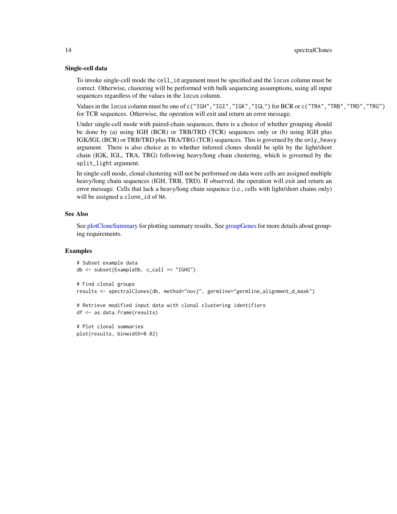#### <span id="page-13-0"></span>Single-cell data

To invoke single-cell mode the cell\_id argument must be specified and the locus column must be correct. Otherwise, clustering will be performed with bulk sequencing assumptions, using all input sequences regardless of the values in the locus column.

Values in the locus column must be one of c("IGH","IGI","IGK","IGL") for BCR or c("TRA","TRB","TRD","TRG") for TCR sequences. Otherwise, the operation will exit and return an error message.

Under single-cell mode with paired-chain sequences, there is a choice of whether grouping should be done by (a) using IGH (BCR) or TRB/TRD (TCR) sequences only or (b) using IGH plus IGK/IGL (BCR) or TRB/TRD plus TRA/TRG (TCR) sequences. This is governed by the only\_heavy argument. There is also choice as to whether inferred clones should be split by the light/short chain (IGK, IGL, TRA, TRG) following heavy/long chain clustering, which is governed by the split\_light argument.

In single-cell mode, clonal clustering will not be performed on data were cells are assigned multiple heavy/long chain sequences (IGH, TRB, TRD). If observed, the operation will exit and return an error message. Cells that lack a heavy/long chain sequence (i.e., cells with light/short chains only) will be assigned a clone\_id of NA.

#### See Also

See [plotCloneSummary](#page-7-1) for plotting summary results. See [groupGenes](#page-0-0) for more details about grouping requirements.

#### Examples

plot(results, binwidth=0.02)

```
# Subset example data
db <- subset(ExampleDb, c_call == "IGHG")
# Find clonal groups
results <- spectralClones(db, method="novj", germline="germline_alignment_d_mask")
# Retrieve modified input data with clonal clustering identifiers
df <- as.data.frame(results)
# Plot clonal summaries
```